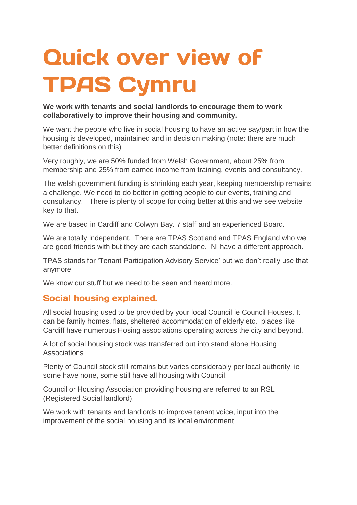## **Quick over view of TPAS Cymru**

## **We work with tenants and social landlords to encourage them to work collaboratively to improve their housing and community.**

We want the people who live in social housing to have an active say/part in how the housing is developed, maintained and in decision making (note: there are much better definitions on this)

Very roughly, we are 50% funded from Welsh Government, about 25% from membership and 25% from earned income from training, events and consultancy.

The welsh government funding is shrinking each year, keeping membership remains a challenge. We need to do better in getting people to our events, training and consultancy. There is plenty of scope for doing better at this and we see website key to that.

We are based in Cardiff and Colwyn Bay. 7 staff and an experienced Board.

We are totally independent. There are TPAS Scotland and TPAS England who we are good friends with but they are each standalone. NI have a different approach.

TPAS stands for 'Tenant Participation Advisory Service' but we don't really use that anymore

We know our stuff but we need to be seen and heard more.

## **Social housing explained.**

All social housing used to be provided by your local Council ie Council Houses. It can be family homes, flats, sheltered accommodation of elderly etc. places like Cardiff have numerous Hosing associations operating across the city and beyond.

A lot of social housing stock was transferred out into stand alone Housing Associations

Plenty of Council stock still remains but varies considerably per local authority. ie some have none, some still have all housing with Council.

Council or Housing Association providing housing are referred to an RSL (Registered Social landlord).

We work with tenants and landlords to improve tenant voice, input into the improvement of the social housing and its local environment